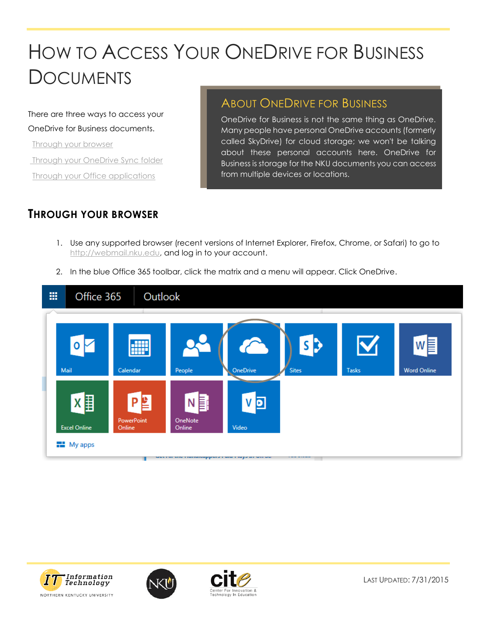# HOW TO ACCESS YOUR ONEDRIVE FOR BUSINESS **DOCUMENTS**

There are three ways to access your OneDrive for Business documents.

 [Through your browser](#page-0-0) [Through your OneDrive Sync folder](#page-3-0) [Through your Office applications](#page-5-0)

# ABOUT ONEDRIVE FOR BUSINESS

OneDrive for Business is not the same thing as OneDrive. Many people have personal OneDrive accounts (formerly called SkyDrive) for cloud storage; we won't be talking about these personal accounts here. OneDrive for Business is storage for the NKU documents you can access from multiple devices or locations.

## <span id="page-0-0"></span>**THROUGH YOUR BROWSER**

- 1. Use any supported browser (recent versions of Internet Explorer, Firefox, Chrome, or Safari) to go to [http://webmail.nku.edu,](http://webmail.nku.edu/) and log in to your account.
- 2. In the blue Office 365 toolbar, click the matrix and a menu will appear. Click OneDrive.







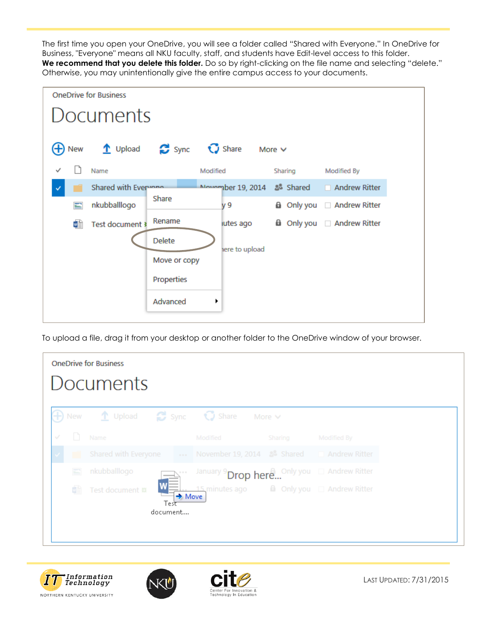The first time you open your OneDrive, you will see a folder called "Shared with Everyone." In OneDrive for Business, "Everyone" means all NKU faculty, staff, and students have Edit-level access to this folder. **We recommend that you delete this folder.** Do so by right-clicking on the file name and selecting "delete." Otherwise, you may unintentionally give the entire campus access to your documents.



To upload a file, drag it from your desktop or another folder to the OneDrive window of your browser.





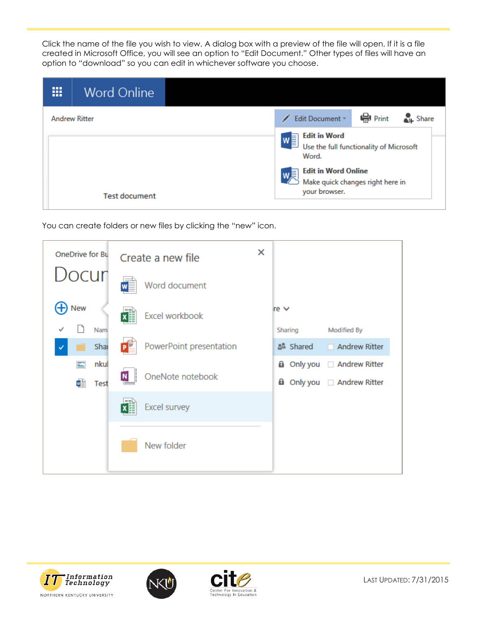Click the name of the file you wish to view. A dialog box with a preview of the file will open. If it is a file created in Microsoft Office, you will see an option to "Edit Document." Other types of files will have an option to "download" so you can edit in whichever software you choose.

| ш<br><b>Word Online</b><br>-- |                                                                                                                                                                                             |  |
|-------------------------------|---------------------------------------------------------------------------------------------------------------------------------------------------------------------------------------------|--|
| <b>Andrew Ritter</b>          | ep Print<br>Share<br>Edit Document *                                                                                                                                                        |  |
|                               | <b>Edit in Word</b><br>$W =$ Edit in word<br>Use the full functionality of Microsoft<br><b>Edit in Word Online</b><br>$\supset$ Make quick changes right here in $\supset$<br>your browser. |  |
|                               |                                                                                                                                                                                             |  |
| <b>Test document</b>          |                                                                                                                                                                                             |  |

You can create folders or new files by clicking the "new" icon.







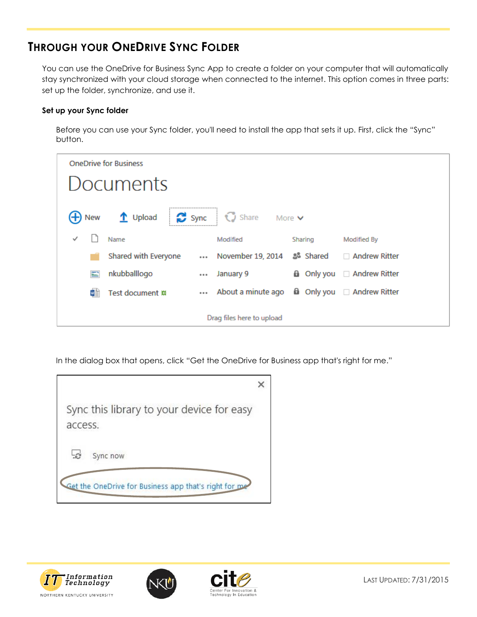# <span id="page-3-0"></span>**THROUGH YOUR ONEDRIVE SYNC FOLDER**

You can use the OneDrive for Business Sync App to create a folder on your computer that will automatically stay synchronized with your cloud storage when connected to the internet. This option comes in three parts: set up the folder, synchronize, and use it.

#### **Set up your Sync folder**

Before you can use your Sync folder, you'll need to install the app that sets it up. First, click the "Sync" button.

| <b>OneDrive for Business</b> |                                                  |  |                                                      |  |         |                                 |
|------------------------------|--------------------------------------------------|--|------------------------------------------------------|--|---------|---------------------------------|
| Documents                    |                                                  |  |                                                      |  |         |                                 |
| (+) New                      | $\mathbf{\hat{T}}$ Upload                        |  | Sync   C Share More v                                |  |         |                                 |
|                              | Name                                             |  | Modified                                             |  | Sharing | <b>Modified By</b>              |
|                              | Shared with Everyone  November 19, 2014 & Shared |  |                                                      |  |         | □ Andrew Ritter                 |
|                              | nkubballlogo                                     |  | January 9                                            |  |         | <b>a</b> Only you Andrew Ritter |
| ≡∎                           | Test document #                                  |  | About a minute ago <b>a</b> Only you □ Andrew Ritter |  |         |                                 |
| Drag files here to upload    |                                                  |  |                                                      |  |         |                                 |

In the dialog box that opens, click "Get the OneDrive for Business app that's right for me."

| Sync this library to your device for easy<br>access.  |  |
|-------------------------------------------------------|--|
|                                                       |  |
| Sync now                                              |  |
| Get the OneDrive for Business app that's right for me |  |





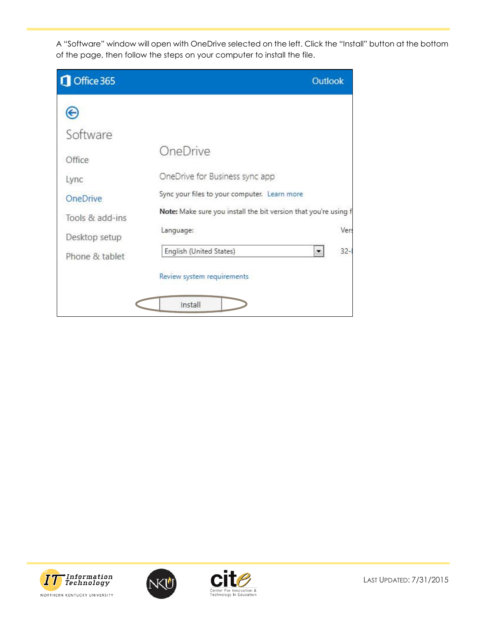A "Software" window will open with OneDrive selected on the left. Click the "Install" button at the bottom of the page, then follow the steps on your computer to install the file.

| Office 365                                                                                               | <b>Outlook</b>                                                                                                                                                                                                                                             |
|----------------------------------------------------------------------------------------------------------|------------------------------------------------------------------------------------------------------------------------------------------------------------------------------------------------------------------------------------------------------------|
| ⊝<br>Software<br>Office<br>Lync<br><b>OneDrive</b><br>Tools & add-ins<br>Desktop setup<br>Phone & tablet | OneDrive<br>OneDrive for Business sync app<br>Sync your files to your computer. Learn more<br>Note: Make sure you install the bit version that you're using f<br>Language:<br>Ver:<br>English (United States)<br>$32 -$<br>۰<br>Review system requirements |
|                                                                                                          | Install                                                                                                                                                                                                                                                    |